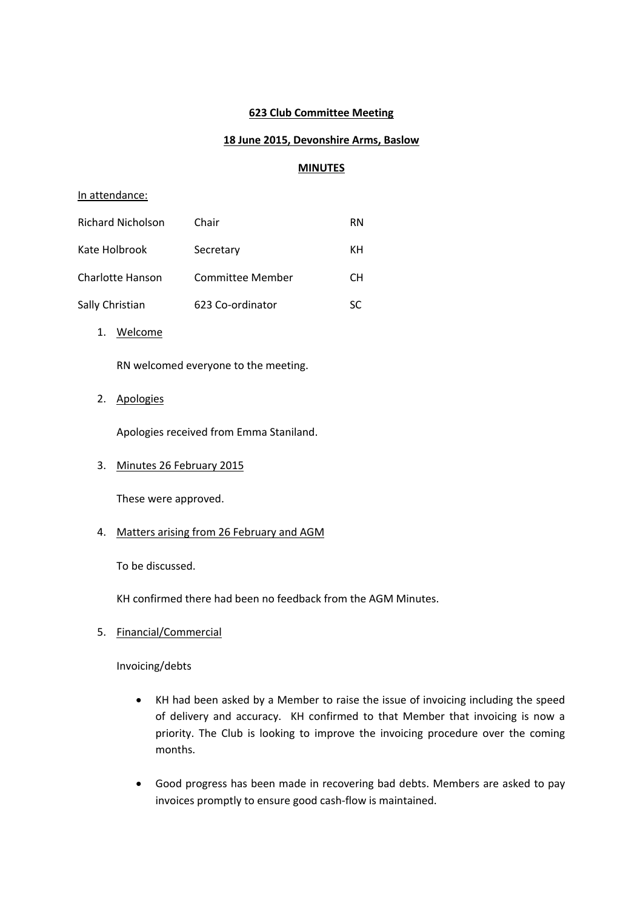### **623 Club Committee Meeting**

## **18 June 2015, Devonshire Arms, Baslow**

### **MINUTES**

#### In attendance:

| <b>Richard Nicholson</b> | Chair            | RN |
|--------------------------|------------------|----|
| Kate Holbrook            | Secretary        | ĸн |
| Charlotte Hanson         | Committee Member | CН |
| Sally Christian          | 623 Co-ordinator | SC |

1. Welcome

RN welcomed everyone to the meeting.

2. Apologies

Apologies received from Emma Staniland.

### 3. Minutes 26 February 2015

These were approved.

### 4. Matters arising from 26 February and AGM

To be discussed.

KH confirmed there had been no feedback from the AGM Minutes.

5. Financial/Commercial

Invoicing/debts

- KH had been asked by a Member to raise the issue of invoicing including the speed of delivery and accuracy. KH confirmed to that Member that invoicing is now a priority. The Club is looking to improve the invoicing procedure over the coming months.
- Good progress has been made in recovering bad debts. Members are asked to pay invoices promptly to ensure good cash-flow is maintained.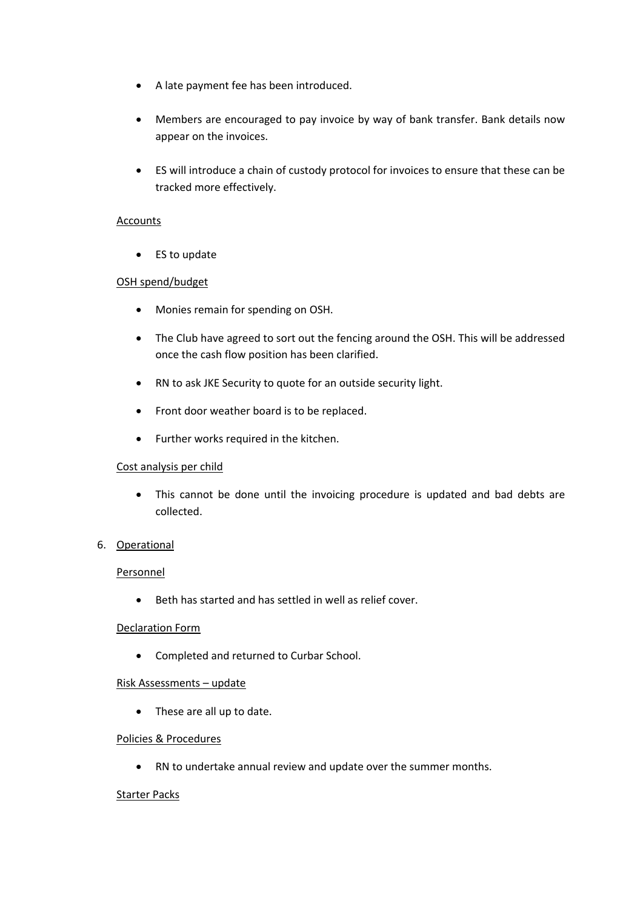- A late payment fee has been introduced.
- Members are encouraged to pay invoice by way of bank transfer. Bank details now appear on the invoices.
- ES will introduce a chain of custody protocol for invoices to ensure that these can be tracked more effectively.

### Accounts

• ES to update

### OSH spend/budget

- Monies remain for spending on OSH.
- The Club have agreed to sort out the fencing around the OSH. This will be addressed once the cash flow position has been clarified.
- RN to ask JKE Security to quote for an outside security light.
- Front door weather board is to be replaced.
- Further works required in the kitchen.

### Cost analysis per child

 This cannot be done until the invoicing procedure is updated and bad debts are collected.

### 6. Operational

#### Personnel

Beth has started and has settled in well as relief cover.

### Declaration Form

Completed and returned to Curbar School.

### Risk Assessments – update

• These are all up to date.

#### Policies & Procedures

RN to undertake annual review and update over the summer months.

#### Starter Packs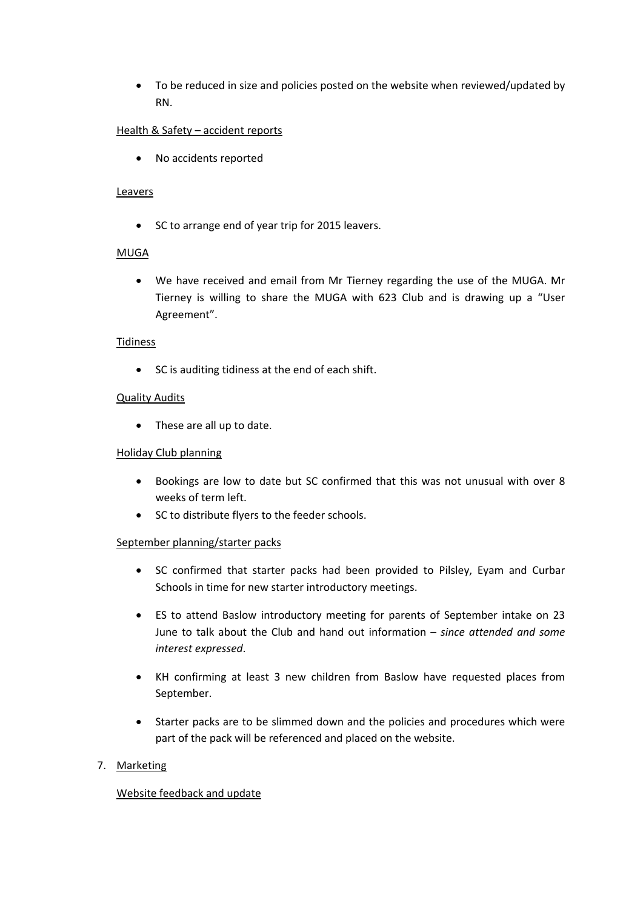To be reduced in size and policies posted on the website when reviewed/updated by RN.

# Health & Safety – accident reports

No accidents reported

## **Leavers**

• SC to arrange end of year trip for 2015 leavers.

# MUGA

 We have received and email from Mr Tierney regarding the use of the MUGA. Mr Tierney is willing to share the MUGA with 623 Club and is drawing up a "User Agreement".

## Tidiness

• SC is auditing tidiness at the end of each shift.

## Quality Audits

• These are all up to date.

## Holiday Club planning

- Bookings are low to date but SC confirmed that this was not unusual with over 8 weeks of term left.
- SC to distribute flyers to the feeder schools.

# September planning/starter packs

- SC confirmed that starter packs had been provided to Pilsley, Eyam and Curbar Schools in time for new starter introductory meetings.
- ES to attend Baslow introductory meeting for parents of September intake on 23 June to talk about the Club and hand out information – *since attended and some interest expressed*.
- KH confirming at least 3 new children from Baslow have requested places from September.
- Starter packs are to be slimmed down and the policies and procedures which were part of the pack will be referenced and placed on the website.

# 7. Marketing

# Website feedback and update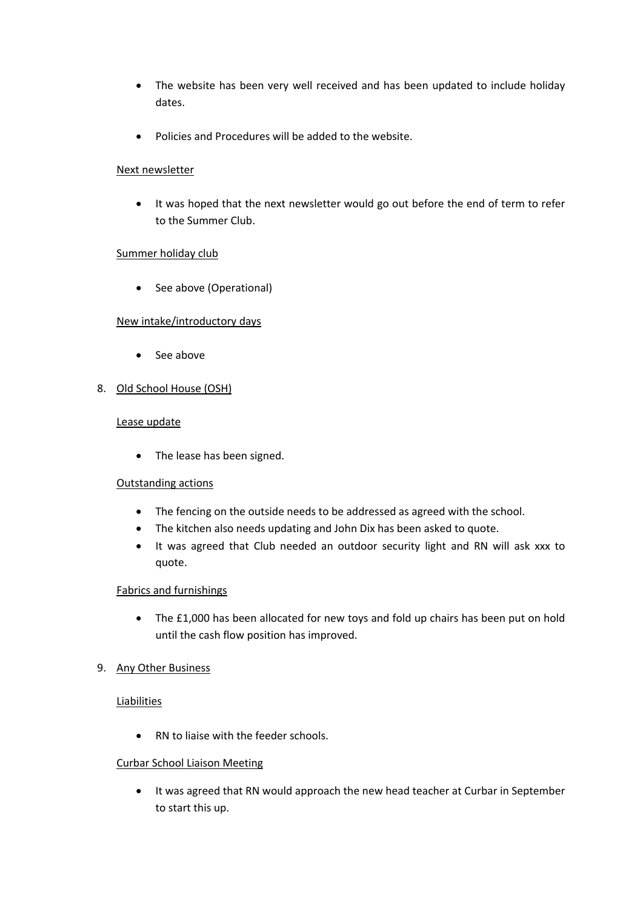- The website has been very well received and has been updated to include holiday dates.
- Policies and Procedures will be added to the website.

## Next newsletter

 It was hoped that the next newsletter would go out before the end of term to refer to the Summer Club.

## Summer holiday club

• See above (Operational)

# New intake/introductory days

- See above
- 8. Old School House (OSH)

### Lease update

• The lease has been signed.

# Outstanding actions

- The fencing on the outside needs to be addressed as agreed with the school.
- The kitchen also needs updating and John Dix has been asked to quote.
- It was agreed that Club needed an outdoor security light and RN will ask xxx to quote.

# Fabrics and furnishings

 The £1,000 has been allocated for new toys and fold up chairs has been put on hold until the cash flow position has improved.

# 9. Any Other Business

### **Liabilities**

• RN to liaise with the feeder schools.

### Curbar School Liaison Meeting

 It was agreed that RN would approach the new head teacher at Curbar in September to start this up.